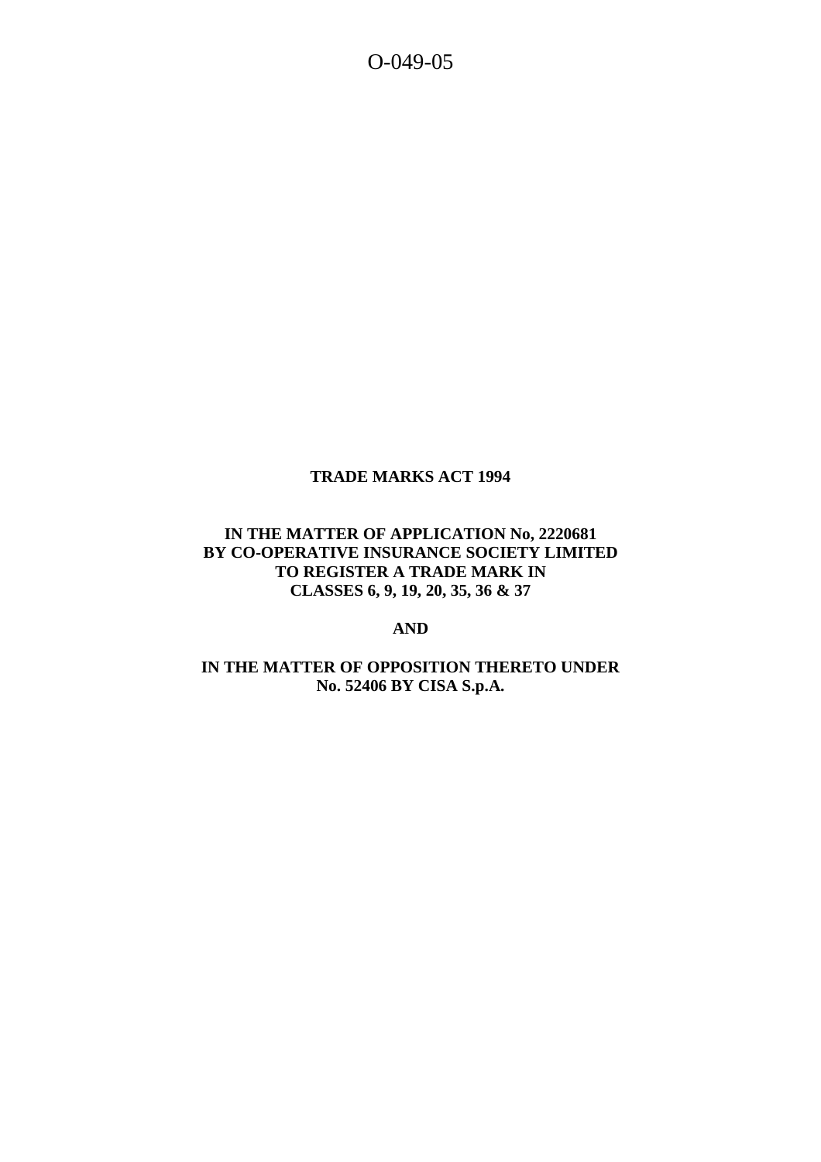O-049-05

# **TRADE MARKS ACT 1994**

### **IN THE MATTER OF APPLICATION No, 2220681 BY CO-OPERATIVE INSURANCE SOCIETY LIMITED TO REGISTER A TRADE MARK IN CLASSES 6, 9, 19, 20, 35, 36 & 37**

# **AND**

# **IN THE MATTER OF OPPOSITION THERETO UNDER No. 52406 BY CISA S.p.A.**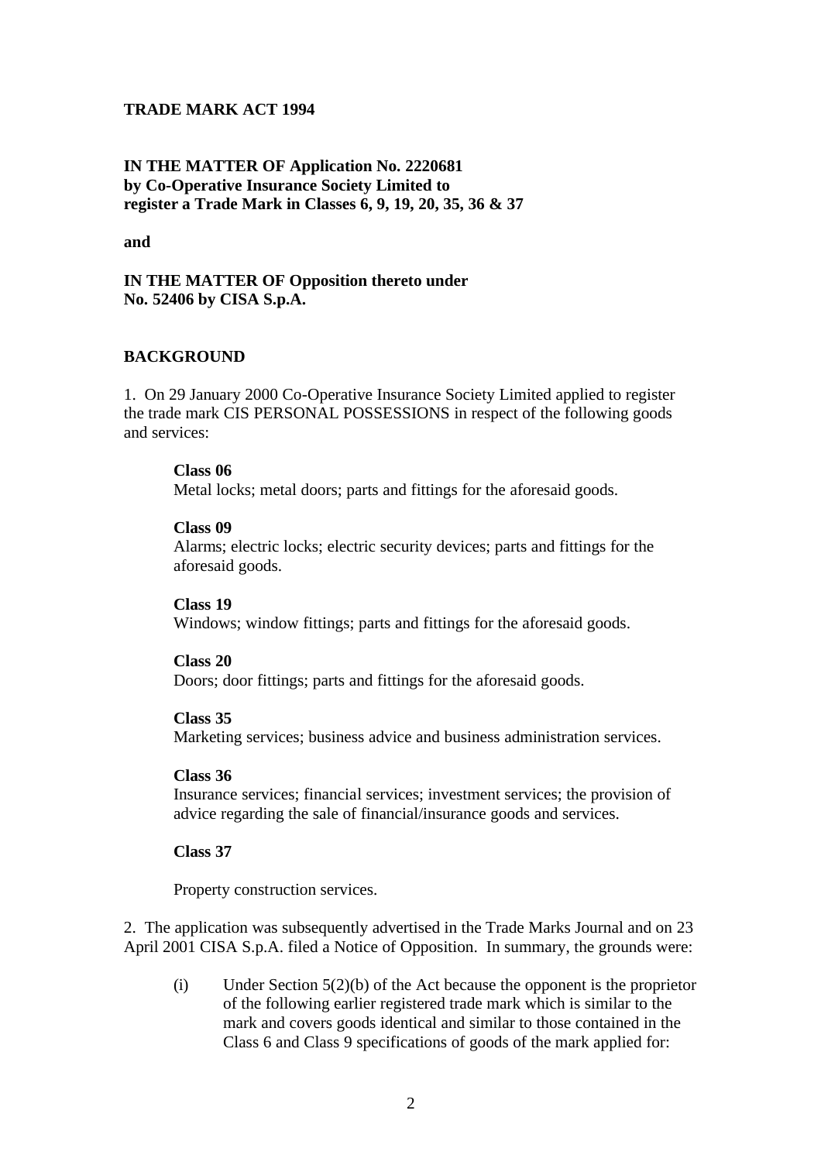### **TRADE MARK ACT 1994**

### **IN THE MATTER OF Application No. 2220681 by Co-Operative Insurance Society Limited to register a Trade Mark in Classes 6, 9, 19, 20, 35, 36 & 37**

**and**

### **IN THE MATTER OF Opposition thereto under No. 52406 by CISA S.p.A.**

#### **BACKGROUND**

1. On 29 January 2000 Co-Operative Insurance Society Limited applied to register the trade mark CIS PERSONAL POSSESSIONS in respect of the following goods and services:

#### **Class 06**

Metal locks; metal doors; parts and fittings for the aforesaid goods.

#### **Class 09**

Alarms; electric locks; electric security devices; parts and fittings for the aforesaid goods.

#### **Class 19**

Windows; window fittings; parts and fittings for the aforesaid goods.

#### **Class 20**

Doors; door fittings; parts and fittings for the aforesaid goods.

#### **Class 35**

Marketing services; business advice and business administration services.

#### **Class 36**

Insurance services; financial services; investment services; the provision of advice regarding the sale of financial/insurance goods and services.

#### **Class 37**

Property construction services.

2. The application was subsequently advertised in the Trade Marks Journal and on 23 April 2001 CISA S.p.A. filed a Notice of Opposition. In summary, the grounds were:

(i) Under Section 5(2)(b) of the Act because the opponent is the proprietor of the following earlier registered trade mark which is similar to the mark and covers goods identical and similar to those contained in the Class 6 and Class 9 specifications of goods of the mark applied for: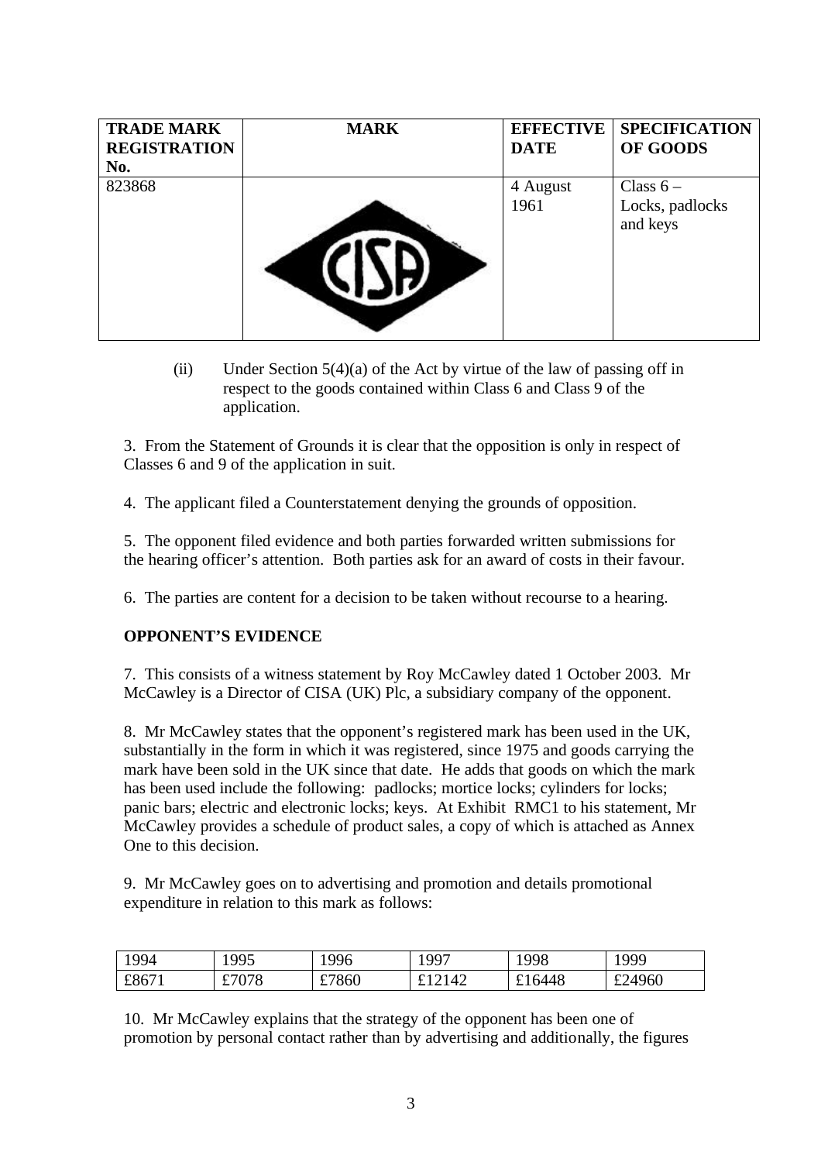| <b>TRADE MARK</b>   | <b>MARK</b> | <b>EFFECTIVE</b> | <b>SPECIFICATION</b>        |
|---------------------|-------------|------------------|-----------------------------|
| <b>REGISTRATION</b> |             | <b>DATE</b>      | OF GOODS                    |
| No.                 |             |                  |                             |
| 823868              |             | 4 August         | Class $6-$                  |
|                     |             | 1961             | Locks, padlocks<br>and keys |

(ii) Under Section  $5(4)(a)$  of the Act by virtue of the law of passing off in respect to the goods contained within Class 6 and Class 9 of the application.

3. From the Statement of Grounds it is clear that the opposition is only in respect of Classes 6 and 9 of the application in suit.

4. The applicant filed a Counterstatement denying the grounds of opposition.

5. The opponent filed evidence and both parties forwarded written submissions for the hearing officer's attention. Both parties ask for an award of costs in their favour.

6. The parties are content for a decision to be taken without recourse to a hearing.

# **OPPONENT'S EVIDENCE**

7. This consists of a witness statement by Roy McCawley dated 1 October 2003. Mr McCawley is a Director of CISA (UK) Plc, a subsidiary company of the opponent.

8. Mr McCawley states that the opponent's registered mark has been used in the UK, substantially in the form in which it was registered, since 1975 and goods carrying the mark have been sold in the UK since that date. He adds that goods on which the mark has been used include the following: padlocks; mortice locks; cylinders for locks; panic bars; electric and electronic locks; keys. At Exhibit RMC1 to his statement, Mr McCawley provides a schedule of product sales, a copy of which is attached as Annex One to this decision.

9. Mr McCawley goes on to advertising and promotion and details promotional expenditure in relation to this mark as follows:

| 1994  | 1995  | '996  | 1997         | 1998   | 999    |
|-------|-------|-------|--------------|--------|--------|
| £8671 | £7078 | £7860 | £12142<br>ىە | £16448 | £24960 |

10. Mr McCawley explains that the strategy of the opponent has been one of promotion by personal contact rather than by advertising and additionally, the figures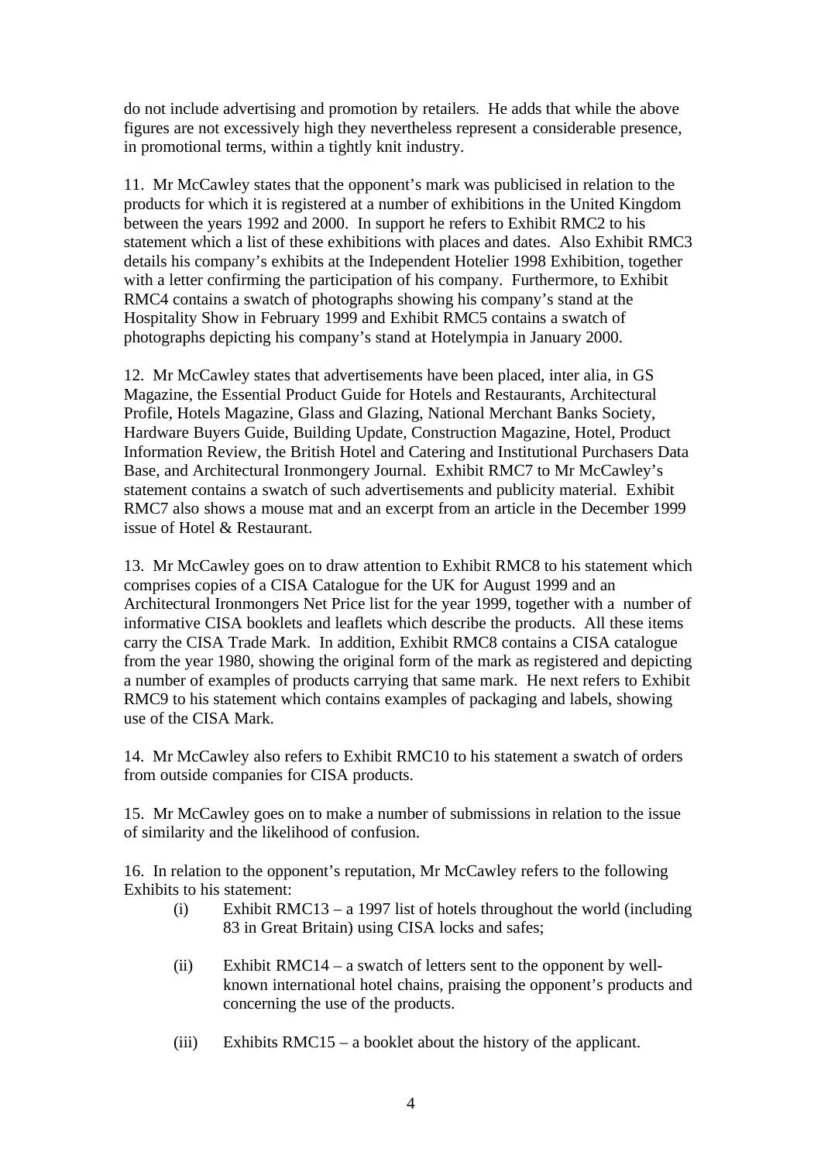do not include advertising and promotion by retailers. He adds that while the above figures are not excessively high they nevertheless represent a considerable presence, in promotional terms, within a tightly knit industry.

11. Mr McCawley states that the opponent's mark was publicised in relation to the products for which it is registered at a number of exhibitions in the United Kingdom between the years 1992 and 2000. In support he refers to Exhibit RMC2 to his statement which a list of these exhibitions with places and dates. Also Exhibit RMC3 details his company's exhibits at the Independent Hotelier 1998 Exhibition, together with a letter confirming the participation of his company. Furthermore, to Exhibit RMC4 contains a swatch of photographs showing his company's stand at the Hospitality Show in February 1999 and Exhibit RMC5 contains a swatch of photographs depicting his company's stand at Hotelympia in January 2000.

12. Mr McCawley states that advertisements have been placed, inter alia, in GS Magazine, the Essential Product Guide for Hotels and Restaurants, Architectural Profile, Hotels Magazine, Glass and Glazing, National Merchant Banks Society, Hardware Buyers Guide, Building Update, Construction Magazine, Hotel, Product Information Review, the British Hotel and Catering and Institutional Purchasers Data Base, and Architectural Ironmongery Journal. Exhibit RMC7 to Mr McCawley's statement contains a swatch of such advertisements and publicity material. Exhibit RMC7 also shows a mouse mat and an excerpt from an article in the December 1999 issue of Hotel & Restaurant.

13. Mr McCawley goes on to draw attention to Exhibit RMC8 to his statement which comprises copies of a CISA Catalogue for the UK for August 1999 and an Architectural Ironmongers Net Price list for the year 1999, together with a number of informative CISA booklets and leaflets which describe the products. All these items carry the CISA Trade Mark. In addition, Exhibit RMC8 contains a CISA catalogue from the year 1980, showing the original form of the mark as registered and depicting a number of examples of products carrying that same mark. He next refers to Exhibit RMC9 to his statement which contains examples of packaging and labels, showing use of the CISA Mark.

14. Mr McCawley also refers to Exhibit RMC10 to his statement a swatch of orders from outside companies for CISA products.

15. Mr McCawley goes on to make a number of submissions in relation to the issue of similarity and the likelihood of confusion.

16. In relation to the opponent's reputation, Mr McCawley refers to the following Exhibits to his statement:

- (i) Exhibit RMC13 a 1997 list of hotels throughout the world (including 83 in Great Britain) using CISA locks and safes;
- (ii) Exhibit RMC14 a swatch of letters sent to the opponent by wellknown international hotel chains, praising the opponent's products and concerning the use of the products.
- (iii) Exhibits RMC15 a booklet about the history of the applicant.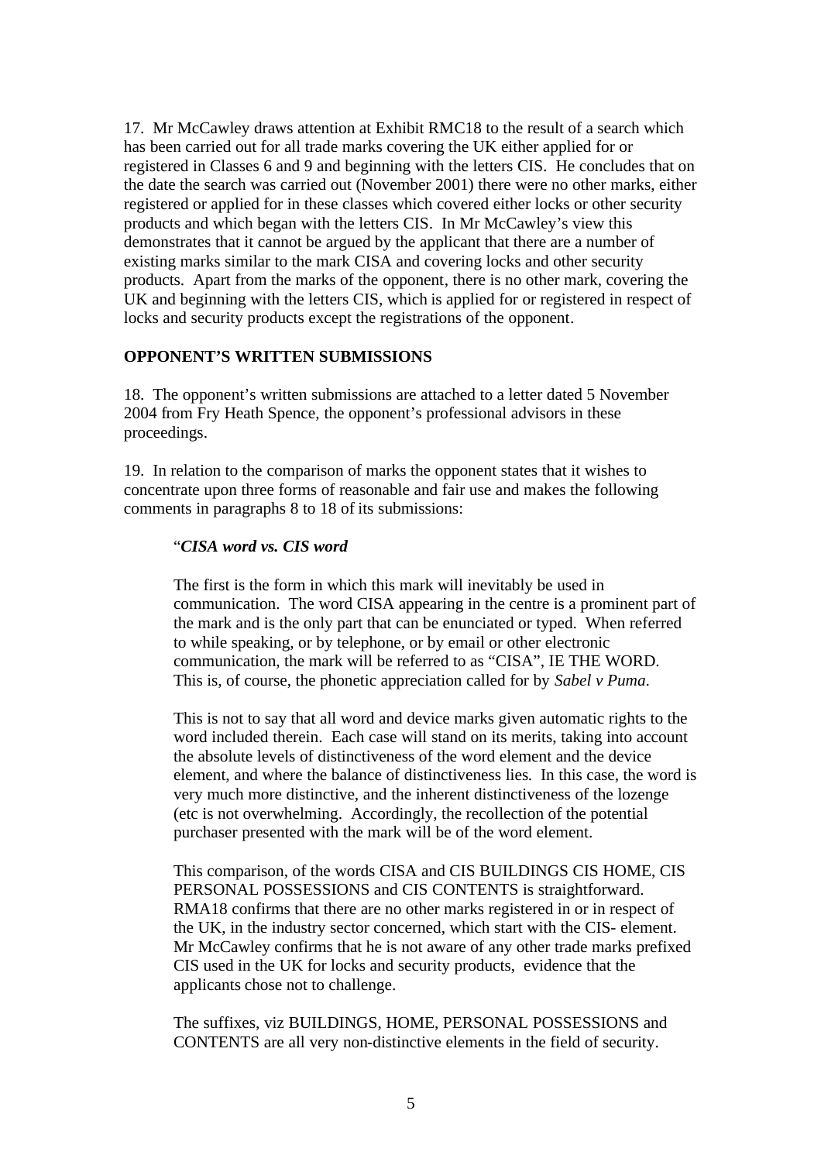17. Mr McCawley draws attention at Exhibit RMC18 to the result of a search which has been carried out for all trade marks covering the UK either applied for or registered in Classes 6 and 9 and beginning with the letters CIS. He concludes that on the date the search was carried out (November 2001) there were no other marks, either registered or applied for in these classes which covered either locks or other security products and which began with the letters CIS. In Mr McCawley's view this demonstrates that it cannot be argued by the applicant that there are a number of existing marks similar to the mark CISA and covering locks and other security products. Apart from the marks of the opponent, there is no other mark, covering the UK and beginning with the letters CIS, which is applied for or registered in respect of locks and security products except the registrations of the opponent.

### **OPPONENT'S WRITTEN SUBMISSIONS**

18. The opponent's written submissions are attached to a letter dated 5 November 2004 from Fry Heath Spence, the opponent's professional advisors in these proceedings.

19. In relation to the comparison of marks the opponent states that it wishes to concentrate upon three forms of reasonable and fair use and makes the following comments in paragraphs 8 to 18 of its submissions:

#### "*CISA word vs. CIS word*

The first is the form in which this mark will inevitably be used in communication. The word CISA appearing in the centre is a prominent part of the mark and is the only part that can be enunciated or typed. When referred to while speaking, or by telephone, or by email or other electronic communication, the mark will be referred to as "CISA", IE THE WORD. This is, of course, the phonetic appreciation called for by *Sabel v Puma*.

This is not to say that all word and device marks given automatic rights to the word included therein. Each case will stand on its merits, taking into account the absolute levels of distinctiveness of the word element and the device element, and where the balance of distinctiveness lies. In this case, the word is very much more distinctive, and the inherent distinctiveness of the lozenge (etc is not overwhelming. Accordingly, the recollection of the potential purchaser presented with the mark will be of the word element.

This comparison, of the words CISA and CIS BUILDINGS CIS HOME, CIS PERSONAL POSSESSIONS and CIS CONTENTS is straightforward. RMA18 confirms that there are no other marks registered in or in respect of the UK, in the industry sector concerned, which start with the CIS- element. Mr McCawley confirms that he is not aware of any other trade marks prefixed CIS used in the UK for locks and security products, evidence that the applicants chose not to challenge.

The suffixes, viz BUILDINGS, HOME, PERSONAL POSSESSIONS and CONTENTS are all very non-distinctive elements in the field of security.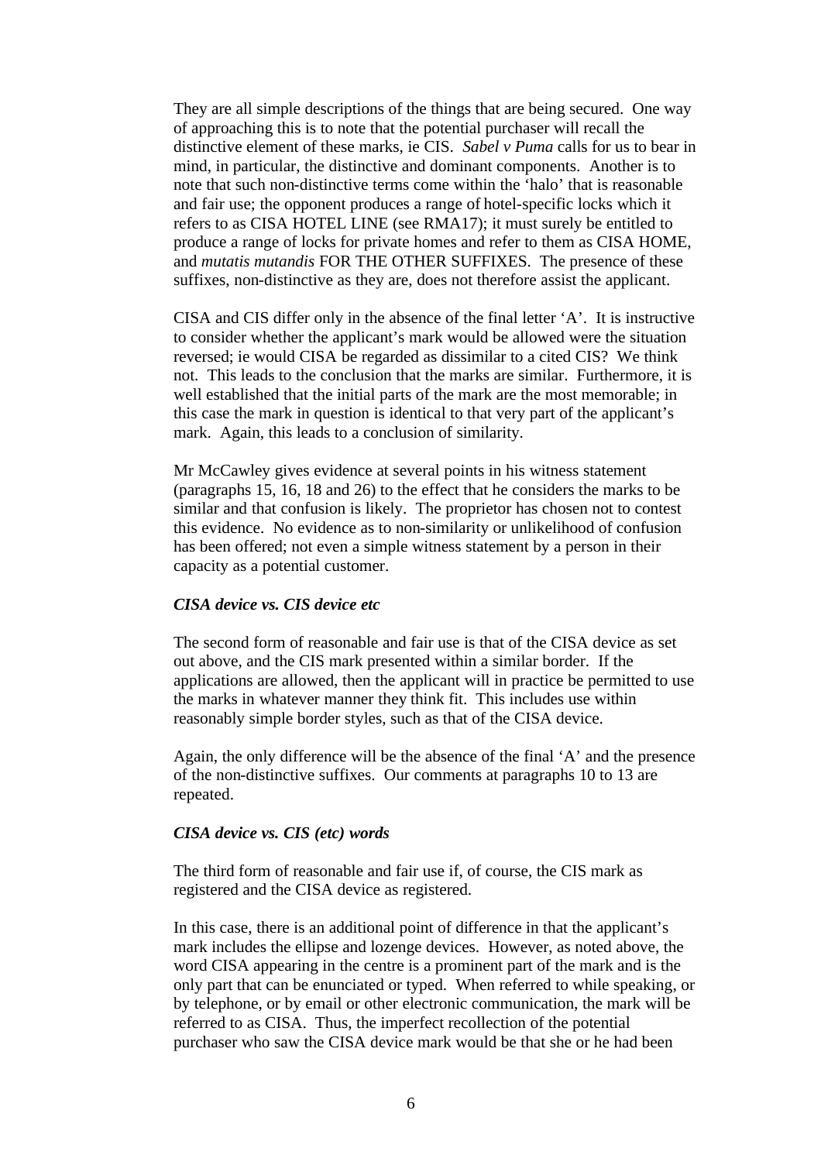They are all simple descriptions of the things that are being secured. One way of approaching this is to note that the potential purchaser will recall the distinctive element of these marks, ie CIS. *Sabel v Puma* calls for us to bear in mind, in particular, the distinctive and dominant components. Another is to note that such non-distinctive terms come within the 'halo' that is reasonable and fair use; the opponent produces a range of hotel-specific locks which it refers to as CISA HOTEL LINE (see RMA17); it must surely be entitled to produce a range of locks for private homes and refer to them as CISA HOME, and *mutatis mutandis* FOR THE OTHER SUFFIXES. The presence of these suffixes, non-distinctive as they are, does not therefore assist the applicant.

CISA and CIS differ only in the absence of the final letter 'A'. It is instructive to consider whether the applicant's mark would be allowed were the situation reversed; ie would CISA be regarded as dissimilar to a cited CIS? We think not. This leads to the conclusion that the marks are similar. Furthermore, it is well established that the initial parts of the mark are the most memorable; in this case the mark in question is identical to that very part of the applicant's mark. Again, this leads to a conclusion of similarity.

Mr McCawley gives evidence at several points in his witness statement (paragraphs 15, 16, 18 and 26) to the effect that he considers the marks to be similar and that confusion is likely. The proprietor has chosen not to contest this evidence. No evidence as to non-similarity or unlikelihood of confusion has been offered; not even a simple witness statement by a person in their capacity as a potential customer.

#### *CISA device vs. CIS device etc*

The second form of reasonable and fair use is that of the CISA device as set out above, and the CIS mark presented within a similar border. If the applications are allowed, then the applicant will in practice be permitted to use the marks in whatever manner they think fit. This includes use within reasonably simple border styles, such as that of the CISA device.

Again, the only difference will be the absence of the final 'A' and the presence of the non-distinctive suffixes. Our comments at paragraphs 10 to 13 are repeated.

#### *CISA device vs. CIS (etc) words*

The third form of reasonable and fair use if, of course, the CIS mark as registered and the CISA device as registered.

In this case, there is an additional point of difference in that the applicant's mark includes the ellipse and lozenge devices. However, as noted above, the word CISA appearing in the centre is a prominent part of the mark and is the only part that can be enunciated or typed. When referred to while speaking, or by telephone, or by email or other electronic communication, the mark will be referred to as CISA. Thus, the imperfect recollection of the potential purchaser who saw the CISA device mark would be that she or he had been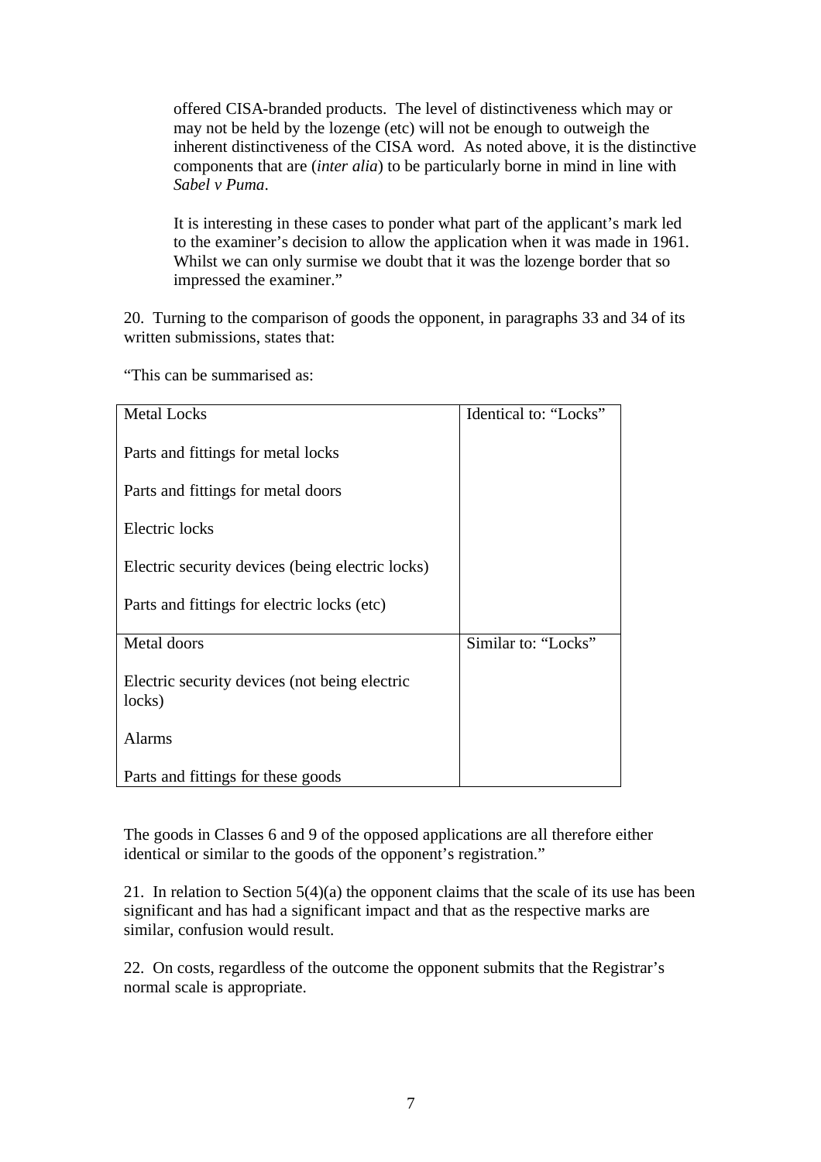offered CISA-branded products. The level of distinctiveness which may or may not be held by the lozenge (etc) will not be enough to outweigh the inherent distinctiveness of the CISA word. As noted above, it is the distinctive components that are (*inter alia*) to be particularly borne in mind in line with *Sabel v Puma*.

It is interesting in these cases to ponder what part of the applicant's mark led to the examiner's decision to allow the application when it was made in 1961. Whilst we can only surmise we doubt that it was the lozenge border that so impressed the examiner."

20. Turning to the comparison of goods the opponent, in paragraphs 33 and 34 of its written submissions, states that:

| <b>Metal Locks</b>                               | Identical to: "Locks" |
|--------------------------------------------------|-----------------------|
|                                                  |                       |
| Parts and fittings for metal locks               |                       |
|                                                  |                       |
|                                                  |                       |
| Parts and fittings for metal doors               |                       |
|                                                  |                       |
|                                                  |                       |
| Electric locks                                   |                       |
|                                                  |                       |
| Electric security devices (being electric locks) |                       |
|                                                  |                       |
|                                                  |                       |
| Parts and fittings for electric locks (etc)      |                       |
|                                                  |                       |
| Metal doors                                      | Similar to: "Locks"   |
|                                                  |                       |
|                                                  |                       |
| Electric security devices (not being electric    |                       |
| locks)                                           |                       |
|                                                  |                       |
|                                                  |                       |
| <b>Alarms</b>                                    |                       |
|                                                  |                       |
| Parts and fittings for these goods               |                       |
|                                                  |                       |

"This can be summarised as:

The goods in Classes 6 and 9 of the opposed applications are all therefore either identical or similar to the goods of the opponent's registration."

21. In relation to Section 5(4)(a) the opponent claims that the scale of its use has been significant and has had a significant impact and that as the respective marks are similar, confusion would result.

22. On costs, regardless of the outcome the opponent submits that the Registrar's normal scale is appropriate.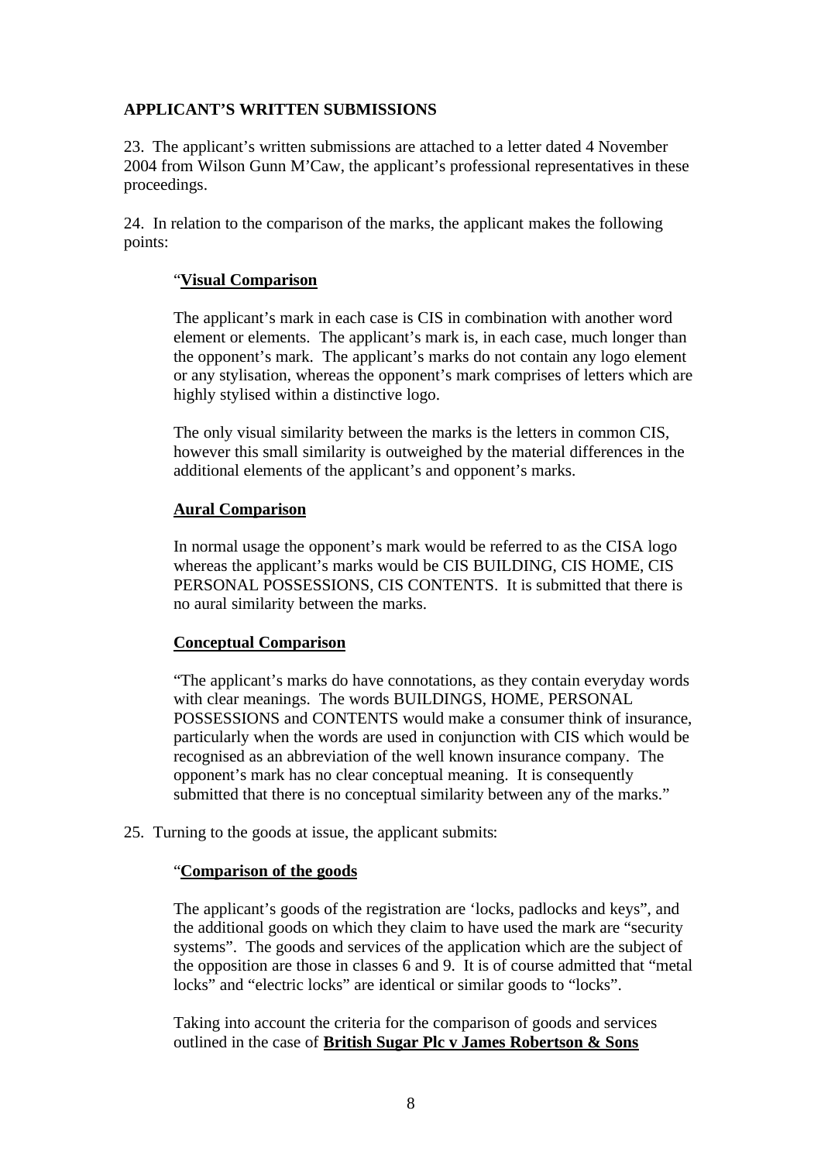# **APPLICANT'S WRITTEN SUBMISSIONS**

23. The applicant's written submissions are attached to a letter dated 4 November 2004 from Wilson Gunn M'Caw, the applicant's professional representatives in these proceedings.

24. In relation to the comparison of the marks, the applicant makes the following points:

### "**Visual Comparison**

The applicant's mark in each case is CIS in combination with another word element or elements. The applicant's mark is, in each case, much longer than the opponent's mark. The applicant's marks do not contain any logo element or any stylisation, whereas the opponent's mark comprises of letters which are highly stylised within a distinctive logo.

The only visual similarity between the marks is the letters in common CIS, however this small similarity is outweighed by the material differences in the additional elements of the applicant's and opponent's marks.

### **Aural Comparison**

In normal usage the opponent's mark would be referred to as the CISA logo whereas the applicant's marks would be CIS BUILDING, CIS HOME, CIS PERSONAL POSSESSIONS, CIS CONTENTS. It is submitted that there is no aural similarity between the marks.

#### **Conceptual Comparison**

"The applicant's marks do have connotations, as they contain everyday words with clear meanings. The words BUILDINGS, HOME, PERSONAL POSSESSIONS and CONTENTS would make a consumer think of insurance, particularly when the words are used in conjunction with CIS which would be recognised as an abbreviation of the well known insurance company. The opponent's mark has no clear conceptual meaning. It is consequently submitted that there is no conceptual similarity between any of the marks."

25. Turning to the goods at issue, the applicant submits:

#### "**Comparison of the goods**

The applicant's goods of the registration are 'locks, padlocks and keys", and the additional goods on which they claim to have used the mark are "security systems". The goods and services of the application which are the subject of the opposition are those in classes 6 and 9. It is of course admitted that "metal locks" and "electric locks" are identical or similar goods to "locks".

Taking into account the criteria for the comparison of goods and services outlined in the case of **British Sugar Plc v James Robertson & Sons**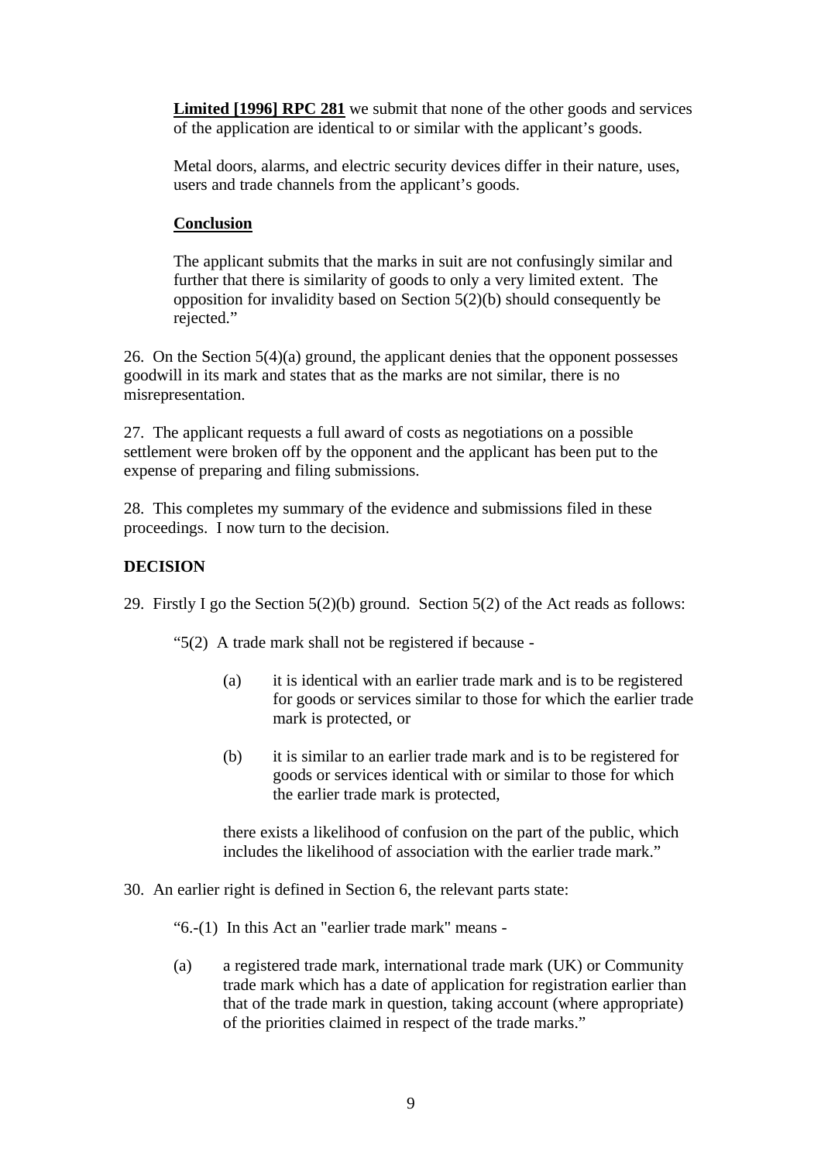**Limited [1996] RPC 281** we submit that none of the other goods and services of the application are identical to or similar with the applicant's goods.

Metal doors, alarms, and electric security devices differ in their nature, uses, users and trade channels from the applicant's goods.

# **Conclusion**

The applicant submits that the marks in suit are not confusingly similar and further that there is similarity of goods to only a very limited extent. The opposition for invalidity based on Section 5(2)(b) should consequently be rejected."

26. On the Section 5(4)(a) ground, the applicant denies that the opponent possesses goodwill in its mark and states that as the marks are not similar, there is no misrepresentation.

27. The applicant requests a full award of costs as negotiations on a possible settlement were broken off by the opponent and the applicant has been put to the expense of preparing and filing submissions.

28. This completes my summary of the evidence and submissions filed in these proceedings. I now turn to the decision.

### **DECISION**

29. Firstly I go the Section 5(2)(b) ground. Section 5(2) of the Act reads as follows:

"5(2) A trade mark shall not be registered if because -

- (a) it is identical with an earlier trade mark and is to be registered for goods or services similar to those for which the earlier trade mark is protected, or
- (b) it is similar to an earlier trade mark and is to be registered for goods or services identical with or similar to those for which the earlier trade mark is protected,

there exists a likelihood of confusion on the part of the public, which includes the likelihood of association with the earlier trade mark."

30. An earlier right is defined in Section 6, the relevant parts state:

"6.-(1) In this Act an "earlier trade mark" means -

(a) a registered trade mark, international trade mark (UK) or Community trade mark which has a date of application for registration earlier than that of the trade mark in question, taking account (where appropriate) of the priorities claimed in respect of the trade marks."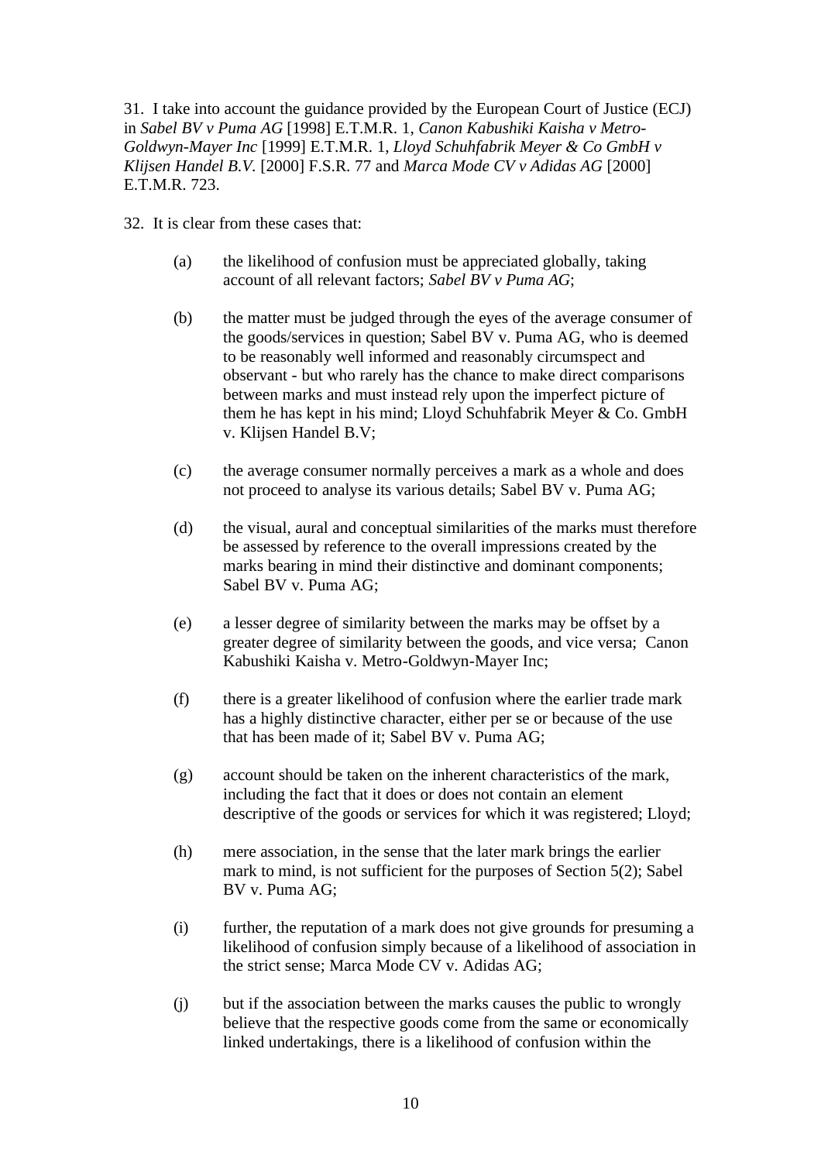31. I take into account the guidance provided by the European Court of Justice (ECJ) in *Sabel BV v Puma AG* [1998] E.T.M.R. 1, *Canon Kabushiki Kaisha v Metro-Goldwyn-Mayer Inc* [1999] E.T.M.R. 1, *Lloyd Schuhfabrik Meyer & Co GmbH v Klijsen Handel B.V.* [2000] F.S.R. 77 and *Marca Mode CV v Adidas AG* [2000] E.T.M.R. 723.

32. It is clear from these cases that:

- (a) the likelihood of confusion must be appreciated globally, taking account of all relevant factors; *Sabel BV v Puma AG*;
- (b) the matter must be judged through the eyes of the average consumer of the goods/services in question; Sabel BV v. Puma AG, who is deemed to be reasonably well informed and reasonably circumspect and observant - but who rarely has the chance to make direct comparisons between marks and must instead rely upon the imperfect picture of them he has kept in his mind; Lloyd Schuhfabrik Meyer & Co. GmbH v. Klijsen Handel B.V;
- (c) the average consumer normally perceives a mark as a whole and does not proceed to analyse its various details; Sabel BV v. Puma AG;
- (d) the visual, aural and conceptual similarities of the marks must therefore be assessed by reference to the overall impressions created by the marks bearing in mind their distinctive and dominant components; Sabel BV v. Puma AG;
- (e) a lesser degree of similarity between the marks may be offset by a greater degree of similarity between the goods, and vice versa; Canon Kabushiki Kaisha v. Metro-Goldwyn-Mayer Inc;
- (f) there is a greater likelihood of confusion where the earlier trade mark has a highly distinctive character, either per se or because of the use that has been made of it; Sabel BV v. Puma AG;
- (g) account should be taken on the inherent characteristics of the mark, including the fact that it does or does not contain an element descriptive of the goods or services for which it was registered; Lloyd;
- (h) mere association, in the sense that the later mark brings the earlier mark to mind, is not sufficient for the purposes of Section 5(2); Sabel BV v. Puma AG;
- (i) further, the reputation of a mark does not give grounds for presuming a likelihood of confusion simply because of a likelihood of association in the strict sense; Marca Mode CV v. Adidas AG;
- (j) but if the association between the marks causes the public to wrongly believe that the respective goods come from the same or economically linked undertakings, there is a likelihood of confusion within the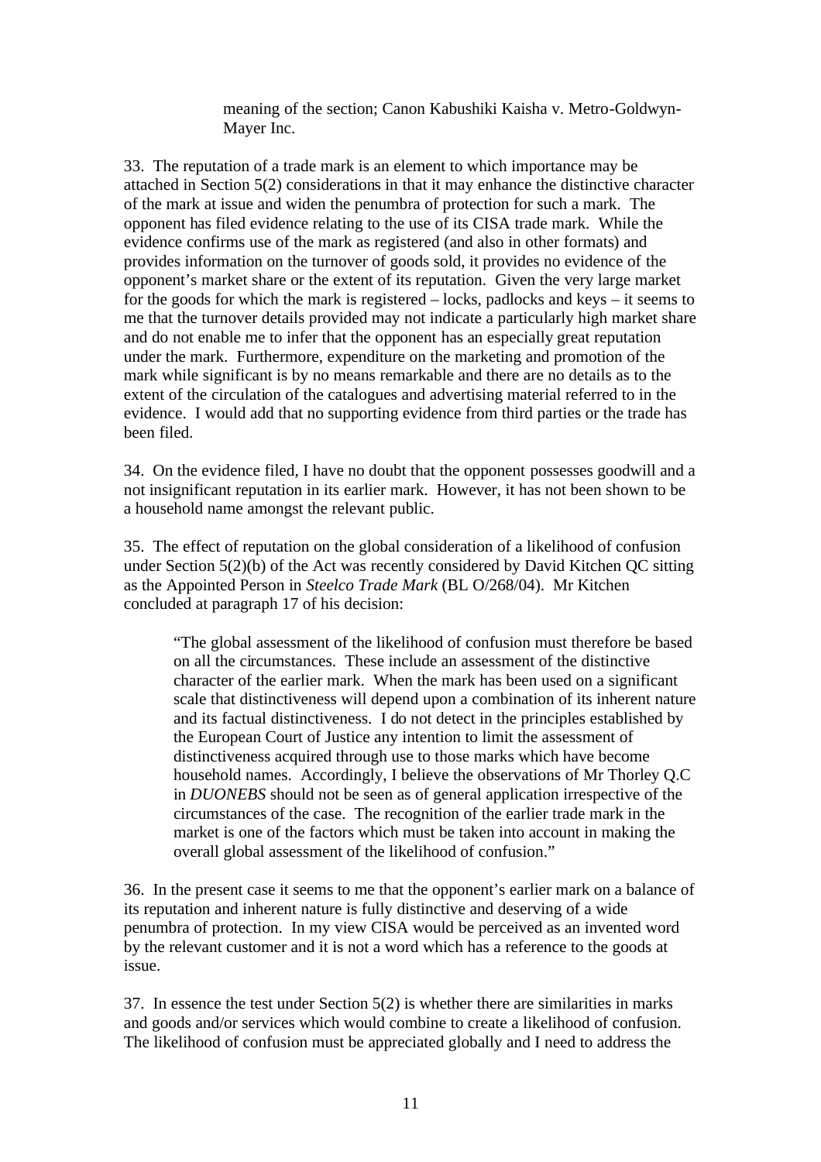meaning of the section; Canon Kabushiki Kaisha v. Metro-Goldwyn-Mayer Inc.

33. The reputation of a trade mark is an element to which importance may be attached in Section 5(2) considerations in that it may enhance the distinctive character of the mark at issue and widen the penumbra of protection for such a mark. The opponent has filed evidence relating to the use of its CISA trade mark. While the evidence confirms use of the mark as registered (and also in other formats) and provides information on the turnover of goods sold, it provides no evidence of the opponent's market share or the extent of its reputation. Given the very large market for the goods for which the mark is registered – locks, padlocks and keys – it seems to me that the turnover details provided may not indicate a particularly high market share and do not enable me to infer that the opponent has an especially great reputation under the mark. Furthermore, expenditure on the marketing and promotion of the mark while significant is by no means remarkable and there are no details as to the extent of the circulation of the catalogues and advertising material referred to in the evidence. I would add that no supporting evidence from third parties or the trade has been filed.

34. On the evidence filed, I have no doubt that the opponent possesses goodwill and a not insignificant reputation in its earlier mark. However, it has not been shown to be a household name amongst the relevant public.

35. The effect of reputation on the global consideration of a likelihood of confusion under Section 5(2)(b) of the Act was recently considered by David Kitchen QC sitting as the Appointed Person in *Steelco Trade Mark* (BL O/268/04). Mr Kitchen concluded at paragraph 17 of his decision:

"The global assessment of the likelihood of confusion must therefore be based on all the circumstances. These include an assessment of the distinctive character of the earlier mark. When the mark has been used on a significant scale that distinctiveness will depend upon a combination of its inherent nature and its factual distinctiveness. I do not detect in the principles established by the European Court of Justice any intention to limit the assessment of distinctiveness acquired through use to those marks which have become household names. Accordingly, I believe the observations of Mr Thorley Q.C in *DUONEBS* should not be seen as of general application irrespective of the circumstances of the case. The recognition of the earlier trade mark in the market is one of the factors which must be taken into account in making the overall global assessment of the likelihood of confusion."

36. In the present case it seems to me that the opponent's earlier mark on a balance of its reputation and inherent nature is fully distinctive and deserving of a wide penumbra of protection. In my view CISA would be perceived as an invented word by the relevant customer and it is not a word which has a reference to the goods at issue.

37. In essence the test under Section 5(2) is whether there are similarities in marks and goods and/or services which would combine to create a likelihood of confusion. The likelihood of confusion must be appreciated globally and I need to address the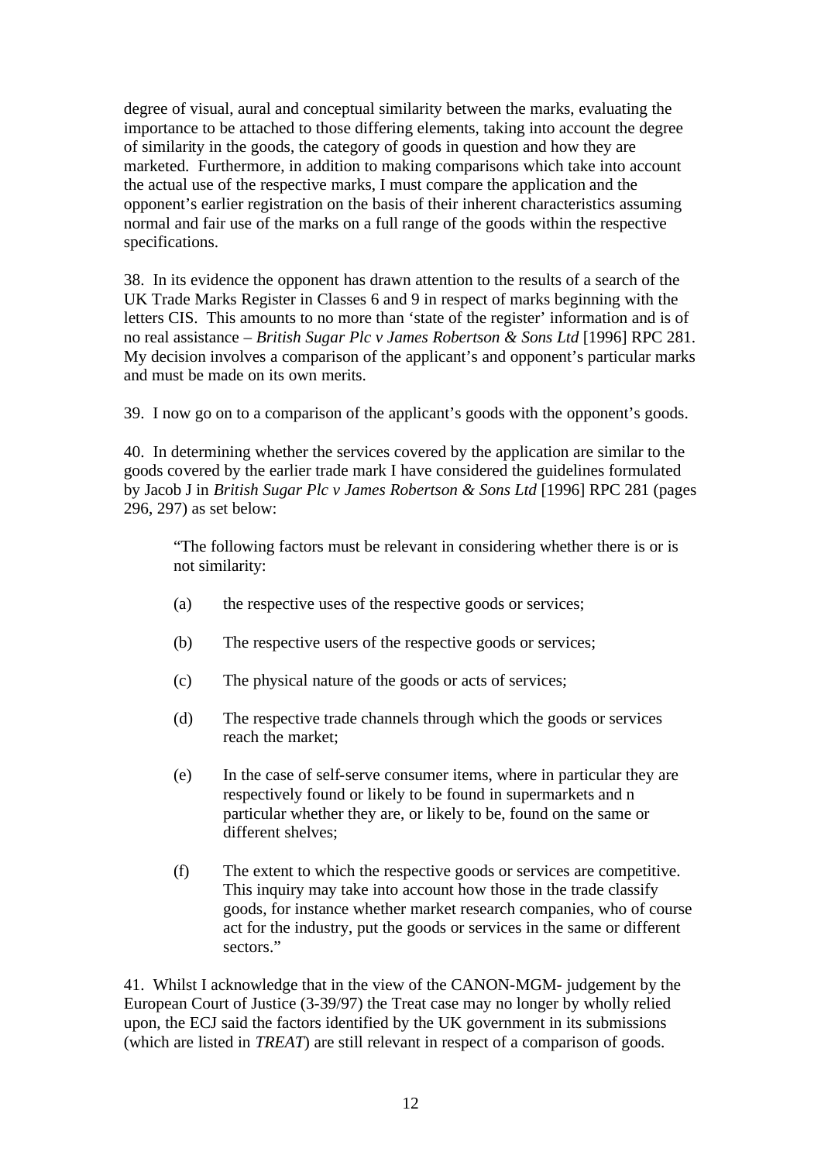degree of visual, aural and conceptual similarity between the marks, evaluating the importance to be attached to those differing elements, taking into account the degree of similarity in the goods, the category of goods in question and how they are marketed. Furthermore, in addition to making comparisons which take into account the actual use of the respective marks, I must compare the application and the opponent's earlier registration on the basis of their inherent characteristics assuming normal and fair use of the marks on a full range of the goods within the respective specifications.

38. In its evidence the opponent has drawn attention to the results of a search of the UK Trade Marks Register in Classes 6 and 9 in respect of marks beginning with the letters CIS. This amounts to no more than 'state of the register' information and is of no real assistance – *British Sugar Plc v James Robertson & Sons Ltd* [1996] RPC 281. My decision involves a comparison of the applicant's and opponent's particular marks and must be made on its own merits.

39. I now go on to a comparison of the applicant's goods with the opponent's goods.

40. In determining whether the services covered by the application are similar to the goods covered by the earlier trade mark I have considered the guidelines formulated by Jacob J in *British Sugar Plc v James Robertson & Sons Ltd* [1996] RPC 281 (pages 296, 297) as set below:

"The following factors must be relevant in considering whether there is or is not similarity:

- (a) the respective uses of the respective goods or services;
- (b) The respective users of the respective goods or services;
- (c) The physical nature of the goods or acts of services;
- (d) The respective trade channels through which the goods or services reach the market;
- (e) In the case of self-serve consumer items, where in particular they are respectively found or likely to be found in supermarkets and n particular whether they are, or likely to be, found on the same or different shelves;
- (f) The extent to which the respective goods or services are competitive. This inquiry may take into account how those in the trade classify goods, for instance whether market research companies, who of course act for the industry, put the goods or services in the same or different sectors"

41. Whilst I acknowledge that in the view of the CANON-MGM- judgement by the European Court of Justice (3-39/97) the Treat case may no longer by wholly relied upon, the ECJ said the factors identified by the UK government in its submissions (which are listed in *TREAT*) are still relevant in respect of a comparison of goods.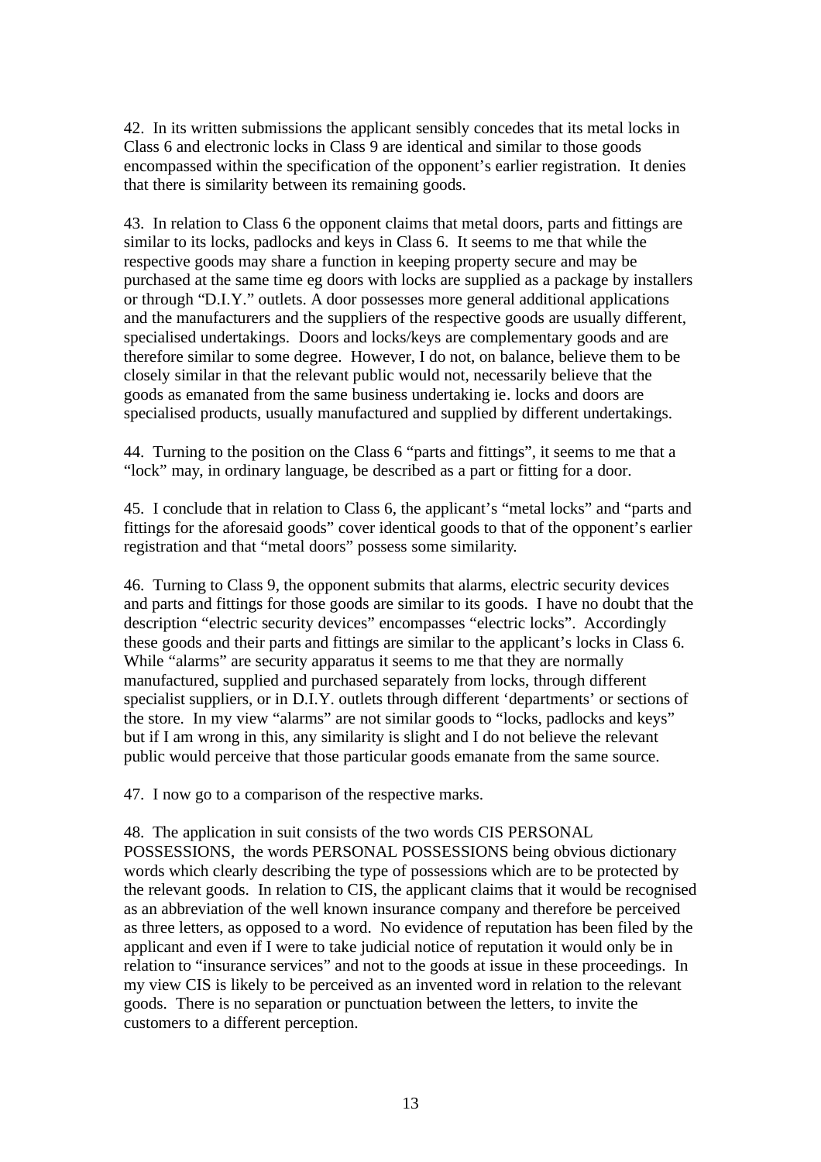42. In its written submissions the applicant sensibly concedes that its metal locks in Class 6 and electronic locks in Class 9 are identical and similar to those goods encompassed within the specification of the opponent's earlier registration. It denies that there is similarity between its remaining goods.

43. In relation to Class 6 the opponent claims that metal doors, parts and fittings are similar to its locks, padlocks and keys in Class 6. It seems to me that while the respective goods may share a function in keeping property secure and may be purchased at the same time eg doors with locks are supplied as a package by installers or through "D.I.Y." outlets. A door possesses more general additional applications and the manufacturers and the suppliers of the respective goods are usually different, specialised undertakings. Doors and locks/keys are complementary goods and are therefore similar to some degree. However, I do not, on balance, believe them to be closely similar in that the relevant public would not, necessarily believe that the goods as emanated from the same business undertaking ie. locks and doors are specialised products, usually manufactured and supplied by different undertakings.

44. Turning to the position on the Class 6 "parts and fittings", it seems to me that a "lock" may, in ordinary language, be described as a part or fitting for a door.

45. I conclude that in relation to Class 6, the applicant's "metal locks" and "parts and fittings for the aforesaid goods" cover identical goods to that of the opponent's earlier registration and that "metal doors" possess some similarity.

46. Turning to Class 9, the opponent submits that alarms, electric security devices and parts and fittings for those goods are similar to its goods. I have no doubt that the description "electric security devices" encompasses "electric locks". Accordingly these goods and their parts and fittings are similar to the applicant's locks in Class 6. While "alarms" are security apparatus it seems to me that they are normally manufactured, supplied and purchased separately from locks, through different specialist suppliers, or in D.I.Y. outlets through different 'departments' or sections of the store. In my view "alarms" are not similar goods to "locks, padlocks and keys" but if I am wrong in this, any similarity is slight and I do not believe the relevant public would perceive that those particular goods emanate from the same source.

47. I now go to a comparison of the respective marks.

48. The application in suit consists of the two words CIS PERSONAL POSSESSIONS, the words PERSONAL POSSESSIONS being obvious dictionary words which clearly describing the type of possessions which are to be protected by the relevant goods. In relation to CIS, the applicant claims that it would be recognised as an abbreviation of the well known insurance company and therefore be perceived as three letters, as opposed to a word. No evidence of reputation has been filed by the applicant and even if I were to take judicial notice of reputation it would only be in relation to "insurance services" and not to the goods at issue in these proceedings. In my view CIS is likely to be perceived as an invented word in relation to the relevant goods. There is no separation or punctuation between the letters, to invite the customers to a different perception.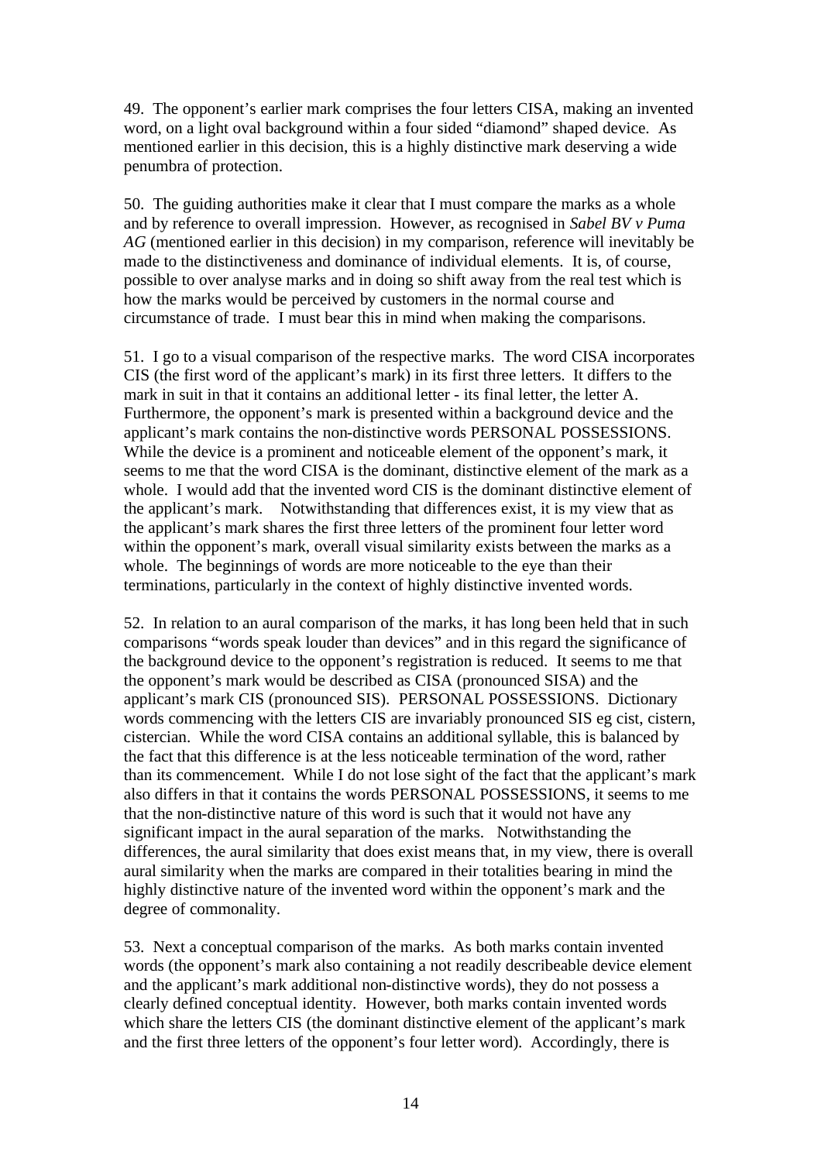49. The opponent's earlier mark comprises the four letters CISA, making an invented word, on a light oval background within a four sided "diamond" shaped device. As mentioned earlier in this decision, this is a highly distinctive mark deserving a wide penumbra of protection.

50. The guiding authorities make it clear that I must compare the marks as a whole and by reference to overall impression. However, as recognised in *Sabel BV v Puma AG* (mentioned earlier in this decision) in my comparison, reference will inevitably be made to the distinctiveness and dominance of individual elements. It is, of course, possible to over analyse marks and in doing so shift away from the real test which is how the marks would be perceived by customers in the normal course and circumstance of trade. I must bear this in mind when making the comparisons.

51. I go to a visual comparison of the respective marks. The word CISA incorporates CIS (the first word of the applicant's mark) in its first three letters. It differs to the mark in suit in that it contains an additional letter - its final letter, the letter A. Furthermore, the opponent's mark is presented within a background device and the applicant's mark contains the non-distinctive words PERSONAL POSSESSIONS. While the device is a prominent and noticeable element of the opponent's mark, it seems to me that the word CISA is the dominant, distinctive element of the mark as a whole. I would add that the invented word CIS is the dominant distinctive element of the applicant's mark. Notwithstanding that differences exist, it is my view that as the applicant's mark shares the first three letters of the prominent four letter word within the opponent's mark, overall visual similarity exists between the marks as a whole. The beginnings of words are more noticeable to the eye than their terminations, particularly in the context of highly distinctive invented words.

52. In relation to an aural comparison of the marks, it has long been held that in such comparisons "words speak louder than devices" and in this regard the significance of the background device to the opponent's registration is reduced. It seems to me that the opponent's mark would be described as CISA (pronounced SISA) and the applicant's mark CIS (pronounced SIS). PERSONAL POSSESSIONS. Dictionary words commencing with the letters CIS are invariably pronounced SIS eg cist, cistern, cistercian. While the word CISA contains an additional syllable, this is balanced by the fact that this difference is at the less noticeable termination of the word, rather than its commencement. While I do not lose sight of the fact that the applicant's mark also differs in that it contains the words PERSONAL POSSESSIONS, it seems to me that the non-distinctive nature of this word is such that it would not have any significant impact in the aural separation of the marks. Notwithstanding the differences, the aural similarity that does exist means that, in my view, there is overall aural similarity when the marks are compared in their totalities bearing in mind the highly distinctive nature of the invented word within the opponent's mark and the degree of commonality.

53. Next a conceptual comparison of the marks. As both marks contain invented words (the opponent's mark also containing a not readily describeable device element and the applicant's mark additional non-distinctive words), they do not possess a clearly defined conceptual identity. However, both marks contain invented words which share the letters CIS (the dominant distinctive element of the applicant's mark and the first three letters of the opponent's four letter word). Accordingly, there is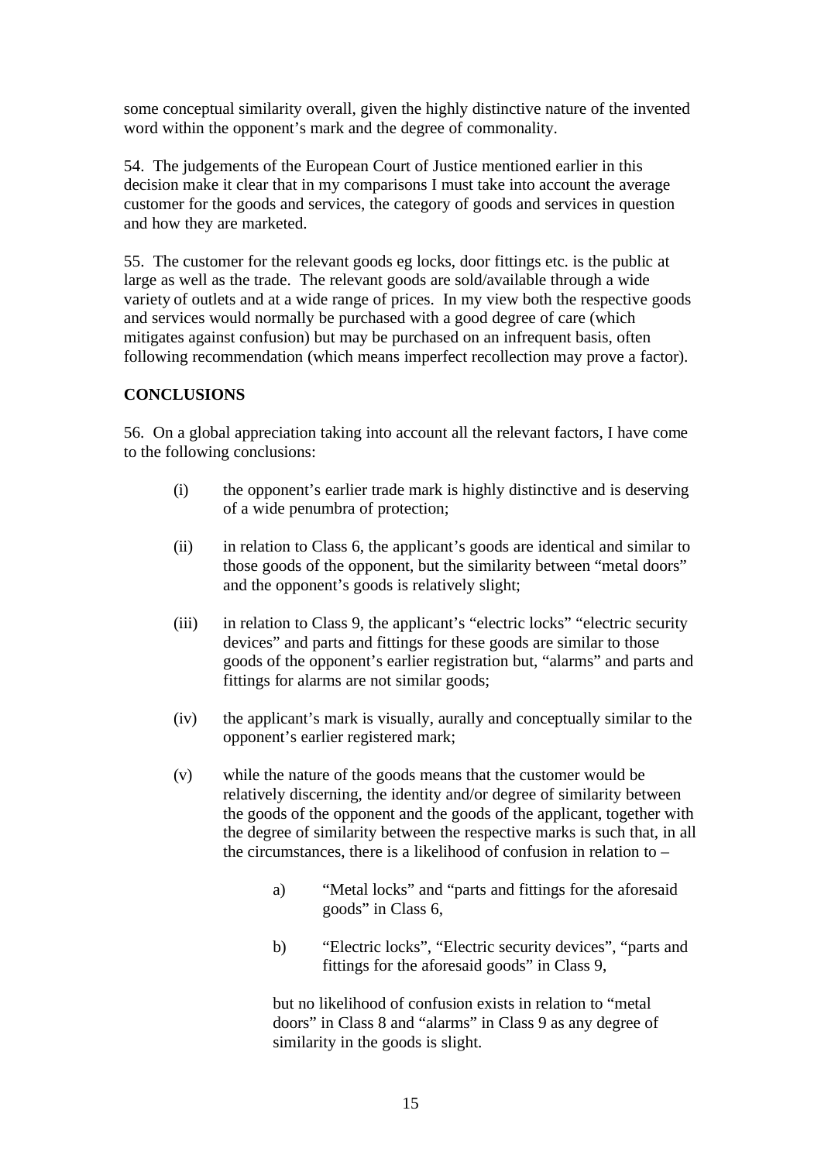some conceptual similarity overall, given the highly distinctive nature of the invented word within the opponent's mark and the degree of commonality.

54. The judgements of the European Court of Justice mentioned earlier in this decision make it clear that in my comparisons I must take into account the average customer for the goods and services, the category of goods and services in question and how they are marketed.

55. The customer for the relevant goods eg locks, door fittings etc. is the public at large as well as the trade. The relevant goods are sold/available through a wide variety of outlets and at a wide range of prices. In my view both the respective goods and services would normally be purchased with a good degree of care (which mitigates against confusion) but may be purchased on an infrequent basis, often following recommendation (which means imperfect recollection may prove a factor).

# **CONCLUSIONS**

56. On a global appreciation taking into account all the relevant factors, I have come to the following conclusions:

- (i) the opponent's earlier trade mark is highly distinctive and is deserving of a wide penumbra of protection;
- (ii) in relation to Class 6, the applicant's goods are identical and similar to those goods of the opponent, but the similarity between "metal doors" and the opponent's goods is relatively slight;
- (iii) in relation to Class 9, the applicant's "electric locks" "electric security devices" and parts and fittings for these goods are similar to those goods of the opponent's earlier registration but, "alarms" and parts and fittings for alarms are not similar goods;
- (iv) the applicant's mark is visually, aurally and conceptually similar to the opponent's earlier registered mark;
- (v) while the nature of the goods means that the customer would be relatively discerning, the identity and/or degree of similarity between the goods of the opponent and the goods of the applicant, together with the degree of similarity between the respective marks is such that, in all the circumstances, there is a likelihood of confusion in relation to –
	- a) "Metal locks" and "parts and fittings for the aforesaid goods" in Class 6,
	- b) "Electric locks", "Electric security devices", "parts and fittings for the aforesaid goods" in Class 9,

but no likelihood of confusion exists in relation to "metal doors" in Class 8 and "alarms" in Class 9 as any degree of similarity in the goods is slight.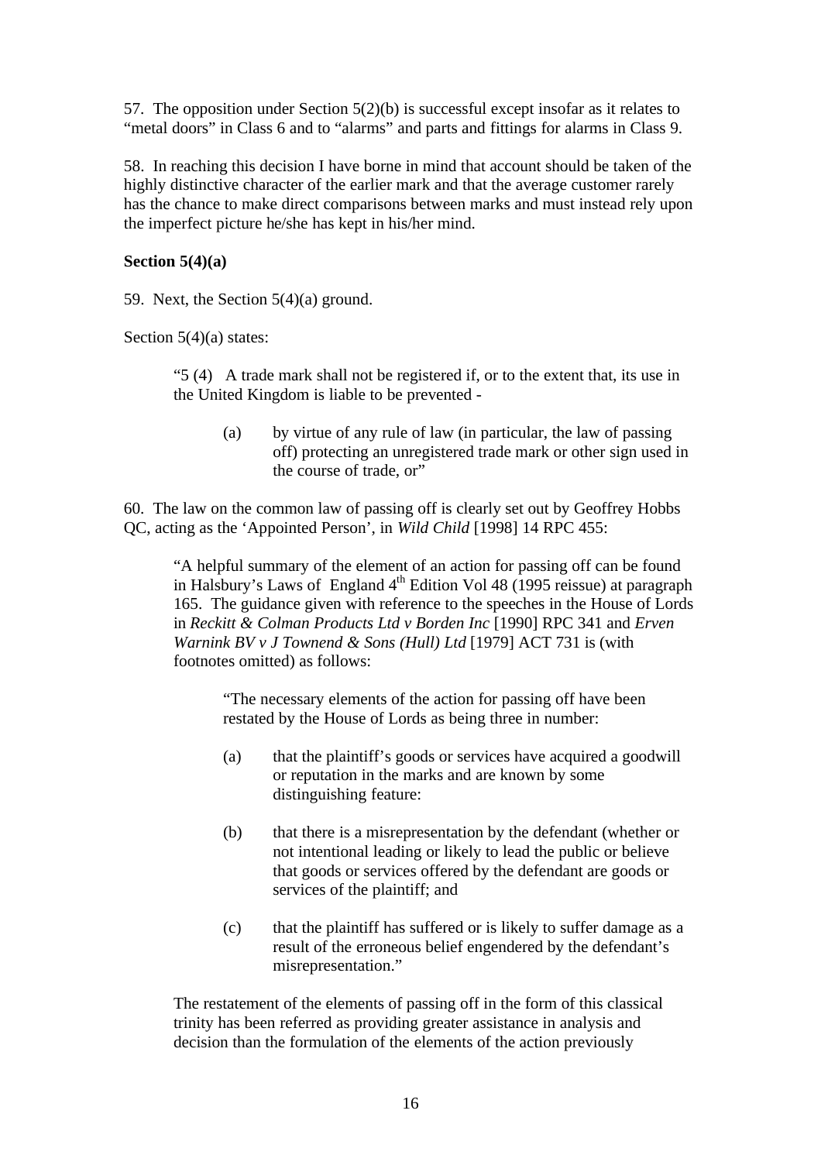57. The opposition under Section 5(2)(b) is successful except insofar as it relates to "metal doors" in Class 6 and to "alarms" and parts and fittings for alarms in Class 9.

58. In reaching this decision I have borne in mind that account should be taken of the highly distinctive character of the earlier mark and that the average customer rarely has the chance to make direct comparisons between marks and must instead rely upon the imperfect picture he/she has kept in his/her mind.

### **Section 5(4)(a)**

59. Next, the Section 5(4)(a) ground.

Section 5(4)(a) states:

"5 (4) A trade mark shall not be registered if, or to the extent that, its use in the United Kingdom is liable to be prevented -

(a) by virtue of any rule of law (in particular, the law of passing off) protecting an unregistered trade mark or other sign used in the course of trade, or"

60. The law on the common law of passing off is clearly set out by Geoffrey Hobbs QC, acting as the 'Appointed Person', in *Wild Child* [1998] 14 RPC 455:

"A helpful summary of the element of an action for passing off can be found in Halsbury's Laws of England  $4<sup>th</sup>$  Edition Vol 48 (1995 reissue) at paragraph 165. The guidance given with reference to the speeches in the House of Lords in *Reckitt & Colman Products Ltd v Borden Inc* [1990] RPC 341 and *Erven Warnink BV v J Townend & Sons (Hull) Ltd* [1979] ACT 731 is (with footnotes omitted) as follows:

"The necessary elements of the action for passing off have been restated by the House of Lords as being three in number:

- (a) that the plaintiff's goods or services have acquired a goodwill or reputation in the marks and are known by some distinguishing feature:
- (b) that there is a misrepresentation by the defendant (whether or not intentional leading or likely to lead the public or believe that goods or services offered by the defendant are goods or services of the plaintiff; and
- (c) that the plaintiff has suffered or is likely to suffer damage as a result of the erroneous belief engendered by the defendant's misrepresentation."

The restatement of the elements of passing off in the form of this classical trinity has been referred as providing greater assistance in analysis and decision than the formulation of the elements of the action previously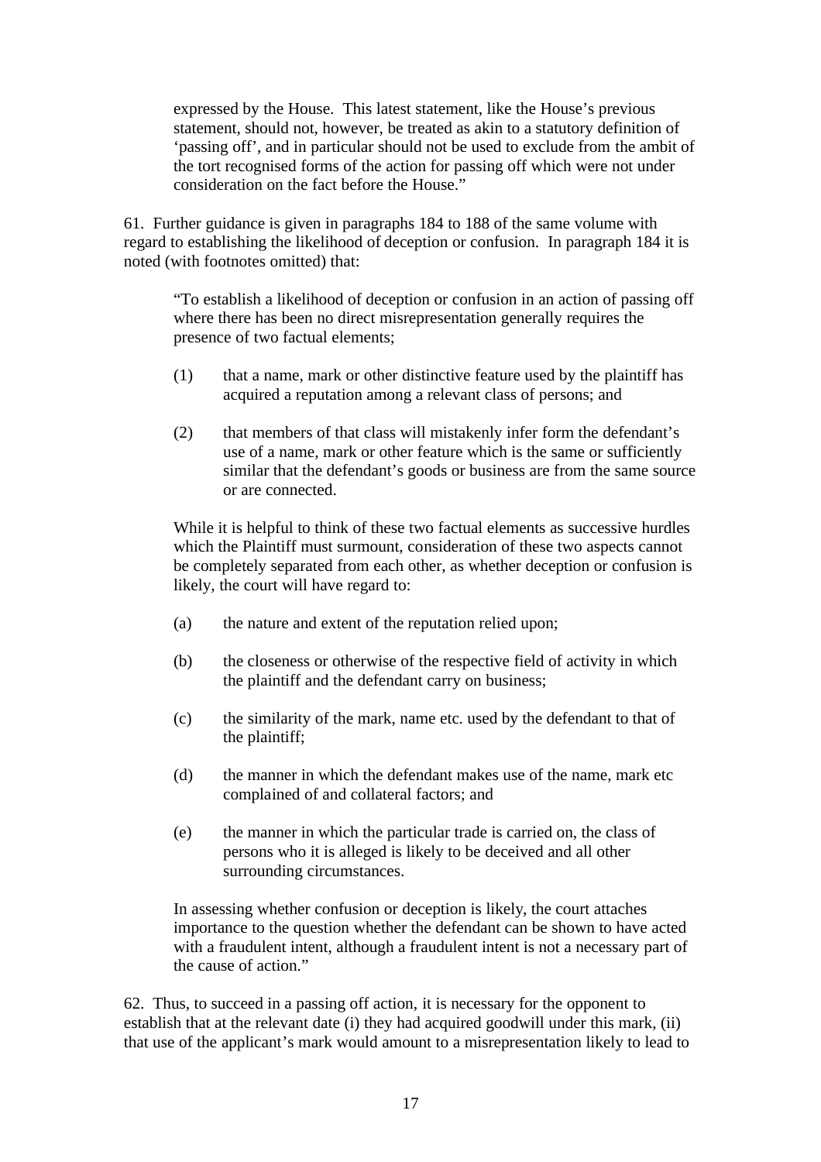expressed by the House. This latest statement, like the House's previous statement, should not, however, be treated as akin to a statutory definition of 'passing off', and in particular should not be used to exclude from the ambit of the tort recognised forms of the action for passing off which were not under consideration on the fact before the House."

61. Further guidance is given in paragraphs 184 to 188 of the same volume with regard to establishing the likelihood of deception or confusion. In paragraph 184 it is noted (with footnotes omitted) that:

"To establish a likelihood of deception or confusion in an action of passing off where there has been no direct misrepresentation generally requires the presence of two factual elements;

- (1) that a name, mark or other distinctive feature used by the plaintiff has acquired a reputation among a relevant class of persons; and
- (2) that members of that class will mistakenly infer form the defendant's use of a name, mark or other feature which is the same or sufficiently similar that the defendant's goods or business are from the same source or are connected.

While it is helpful to think of these two factual elements as successive hurdles which the Plaintiff must surmount, consideration of these two aspects cannot be completely separated from each other, as whether deception or confusion is likely, the court will have regard to:

- (a) the nature and extent of the reputation relied upon;
- (b) the closeness or otherwise of the respective field of activity in which the plaintiff and the defendant carry on business;
- (c) the similarity of the mark, name etc. used by the defendant to that of the plaintiff;
- (d) the manner in which the defendant makes use of the name, mark etc complained of and collateral factors; and
- (e) the manner in which the particular trade is carried on, the class of persons who it is alleged is likely to be deceived and all other surrounding circumstances.

In assessing whether confusion or deception is likely, the court attaches importance to the question whether the defendant can be shown to have acted with a fraudulent intent, although a fraudulent intent is not a necessary part of the cause of action."

62. Thus, to succeed in a passing off action, it is necessary for the opponent to establish that at the relevant date (i) they had acquired goodwill under this mark, (ii) that use of the applicant's mark would amount to a misrepresentation likely to lead to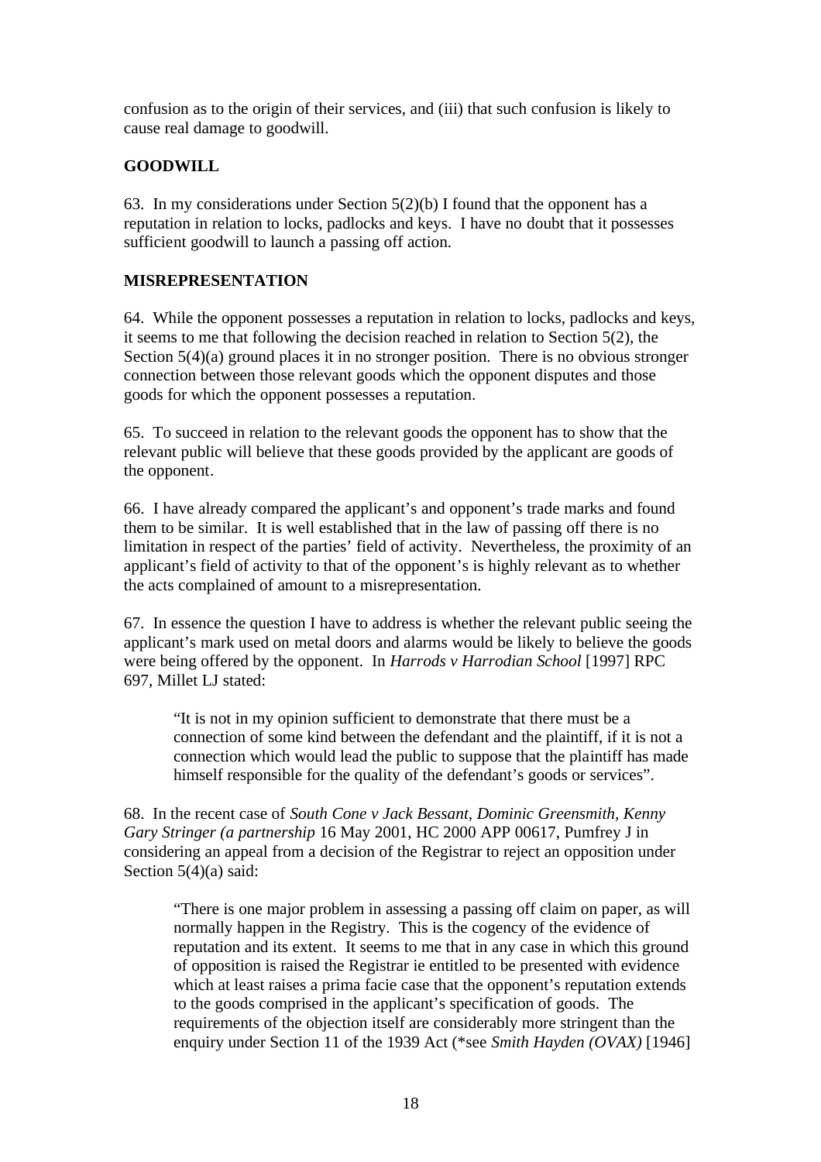confusion as to the origin of their services, and (iii) that such confusion is likely to cause real damage to goodwill.

# **GOODWILL**

63. In my considerations under Section  $5(2)(b)$  I found that the opponent has a reputation in relation to locks, padlocks and keys. I have no doubt that it possesses sufficient goodwill to launch a passing off action.

# **MISREPRESENTATION**

64. While the opponent possesses a reputation in relation to locks, padlocks and keys, it seems to me that following the decision reached in relation to Section 5(2), the Section 5(4)(a) ground places it in no stronger position. There is no obvious stronger connection between those relevant goods which the opponent disputes and those goods for which the opponent possesses a reputation.

65. To succeed in relation to the relevant goods the opponent has to show that the relevant public will believe that these goods provided by the applicant are goods of the opponent.

66. I have already compared the applicant's and opponent's trade marks and found them to be similar. It is well established that in the law of passing off there is no limitation in respect of the parties' field of activity. Nevertheless, the proximity of an applicant's field of activity to that of the opponent's is highly relevant as to whether the acts complained of amount to a misrepresentation.

67. In essence the question I have to address is whether the relevant public seeing the applicant's mark used on metal doors and alarms would be likely to believe the goods were being offered by the opponent. In *Harrods v Harrodian School* [1997] RPC 697, Millet LJ stated:

"It is not in my opinion sufficient to demonstrate that there must be a connection of some kind between the defendant and the plaintiff, if it is not a connection which would lead the public to suppose that the plaintiff has made himself responsible for the quality of the defendant's goods or services".

68. In the recent case of *South Cone v Jack Bessant, Dominic Greensmith, Kenny Gary Stringer (a partnership* 16 May 2001, HC 2000 APP 00617, Pumfrey J in considering an appeal from a decision of the Registrar to reject an opposition under Section 5(4)(a) said:

"There is one major problem in assessing a passing off claim on paper, as will normally happen in the Registry. This is the cogency of the evidence of reputation and its extent. It seems to me that in any case in which this ground of opposition is raised the Registrar ie entitled to be presented with evidence which at least raises a prima facie case that the opponent's reputation extends to the goods comprised in the applicant's specification of goods. The requirements of the objection itself are considerably more stringent than the enquiry under Section 11 of the 1939 Act (\*see *Smith Hayden (OVAX)* [1946]